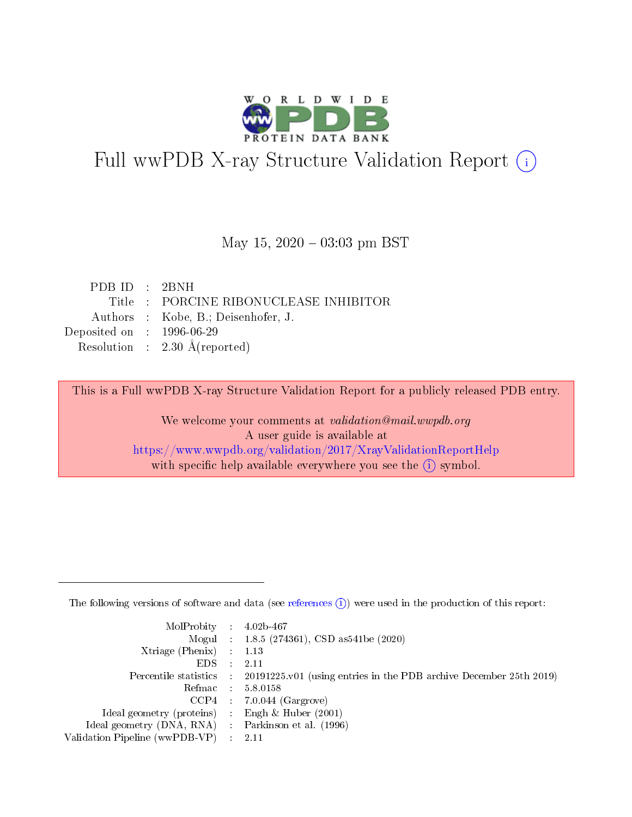

# Full wwPDB X-ray Structure Validation Report (i)

#### May 15,  $2020 - 03:03$  pm BST

| PDB ID : 2BNH               |                                          |
|-----------------------------|------------------------------------------|
|                             | Title: PORCINE RIBONUCLEASE INHIBITOR    |
|                             | Authors : Kobe, B.; Deisenhofer, J.      |
| Deposited on : $1996-06-29$ |                                          |
|                             | Resolution : $2.30 \text{ Å}$ (reported) |

This is a Full wwPDB X-ray Structure Validation Report for a publicly released PDB entry.

We welcome your comments at validation@mail.wwpdb.org A user guide is available at <https://www.wwpdb.org/validation/2017/XrayValidationReportHelp> with specific help available everywhere you see the  $(i)$  symbol.

The following versions of software and data (see [references](https://www.wwpdb.org/validation/2017/XrayValidationReportHelp#references)  $(1)$ ) were used in the production of this report:

| $MolProbability$ : 4.02b-467                        |                                                                                            |
|-----------------------------------------------------|--------------------------------------------------------------------------------------------|
|                                                     | Mogul : 1.8.5 (274361), CSD as 541be (2020)                                                |
| Xtriage (Phenix) $: 1.13$                           |                                                                                            |
| EDS :                                               | -2.11                                                                                      |
|                                                     | Percentile statistics : 20191225.v01 (using entries in the PDB archive December 25th 2019) |
| Refmac 58.0158                                      |                                                                                            |
|                                                     | $CCP4$ 7.0.044 (Gargrove)                                                                  |
| Ideal geometry (proteins) : Engh $\&$ Huber (2001)  |                                                                                            |
| Ideal geometry (DNA, RNA) : Parkinson et al. (1996) |                                                                                            |
| Validation Pipeline (wwPDB-VP) : 2.11               |                                                                                            |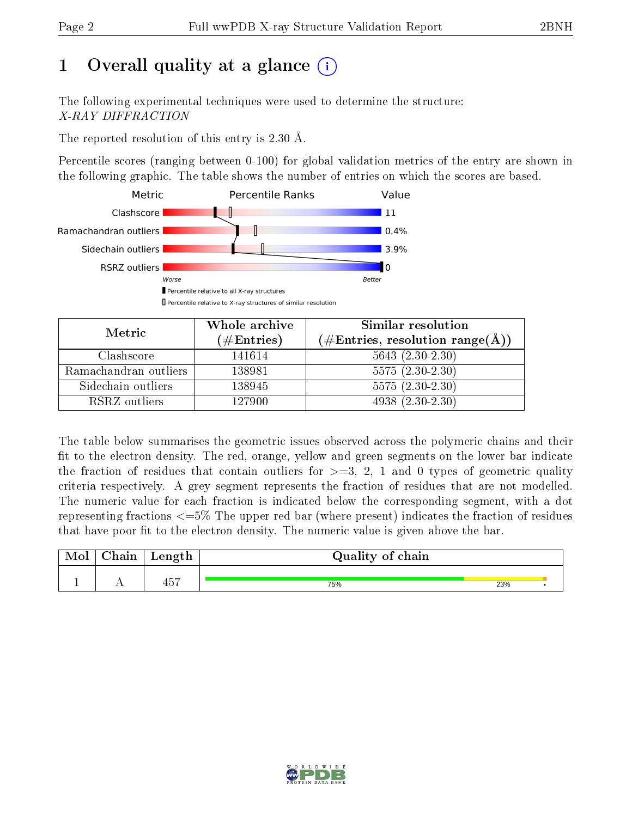# 1 [O](https://www.wwpdb.org/validation/2017/XrayValidationReportHelp#overall_quality)verall quality at a glance  $(i)$

The following experimental techniques were used to determine the structure: X-RAY DIFFRACTION

The reported resolution of this entry is 2.30 Å.

Percentile scores (ranging between 0-100) for global validation metrics of the entry are shown in the following graphic. The table shows the number of entries on which the scores are based.



| Metric                | Whole archive<br>(# $\rm{Entries}$ ) | Similar resolution<br>$(\#Entries, resolution range(A))$ |
|-----------------------|--------------------------------------|----------------------------------------------------------|
| Clashscore            | 141614                               | $5643(2.30-2.30)$                                        |
| Ramachandran outliers | 138981                               | $5575(2.30-2.30)$                                        |
| Sidechain outliers    | 138945                               | $5575(2.30-2.30)$                                        |
| RSRZ outliers         | 127900                               | $4938(2.30-2.30)$                                        |

The table below summarises the geometric issues observed across the polymeric chains and their fit to the electron density. The red, orange, yellow and green segments on the lower bar indicate the fraction of residues that contain outliers for  $\geq=3$ , 2, 1 and 0 types of geometric quality criteria respectively. A grey segment represents the fraction of residues that are not modelled. The numeric value for each fraction is indicated below the corresponding segment, with a dot representing fractions  $\epsilon = 5\%$  The upper red bar (where present) indicates the fraction of residues that have poor fit to the electron density. The numeric value is given above the bar.

| $\cap$ hain | Length | Quality of chain |     |  |
|-------------|--------|------------------|-----|--|
|             | --     |                  |     |  |
|             | 45.    | 75%              | 23% |  |

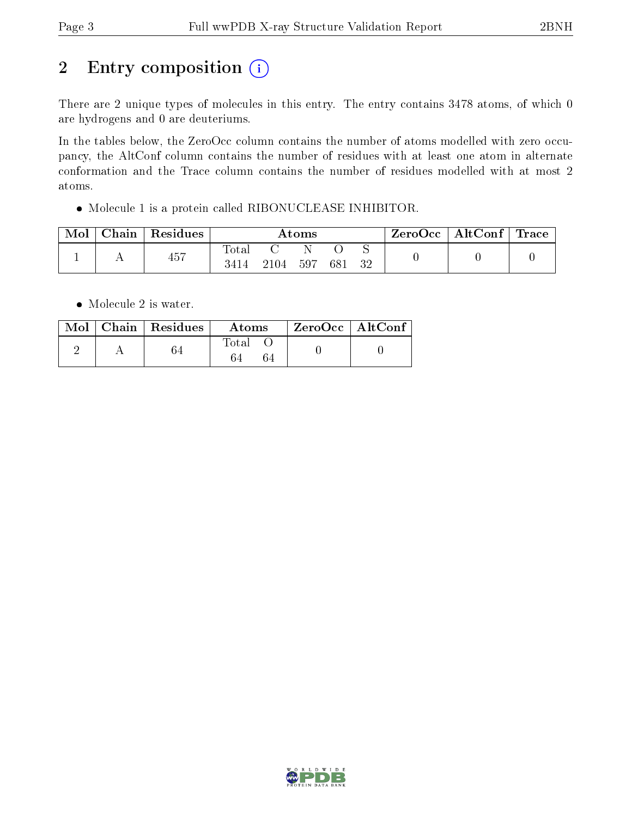# 2 Entry composition (i)

There are 2 unique types of molecules in this entry. The entry contains 3478 atoms, of which 0 are hydrogens and 0 are deuteriums.

In the tables below, the ZeroOcc column contains the number of atoms modelled with zero occupancy, the AltConf column contains the number of residues with at least one atom in alternate conformation and the Trace column contains the number of residues modelled with at most 2 atoms.

Molecule 1 is a protein called RIBONUCLEASE INHIBITOR.

| Mol | Chain | Residues | Atoms         |      |     |     | $^\top$ ZeroOcc   AltConf   Trace |  |  |
|-----|-------|----------|---------------|------|-----|-----|-----------------------------------|--|--|
|     |       | 457      | Total<br>3414 | 2104 | 597 | 681 | 32                                |  |  |

• Molecule 2 is water.

|  | $Mol$   Chain   Residues | Atoms       | $^\mathrm{+}$ ZeroOcc $\, \mid$ AltConf $\, \mid$ |  |
|--|--------------------------|-------------|---------------------------------------------------|--|
|  |                          | $\rm Total$ |                                                   |  |

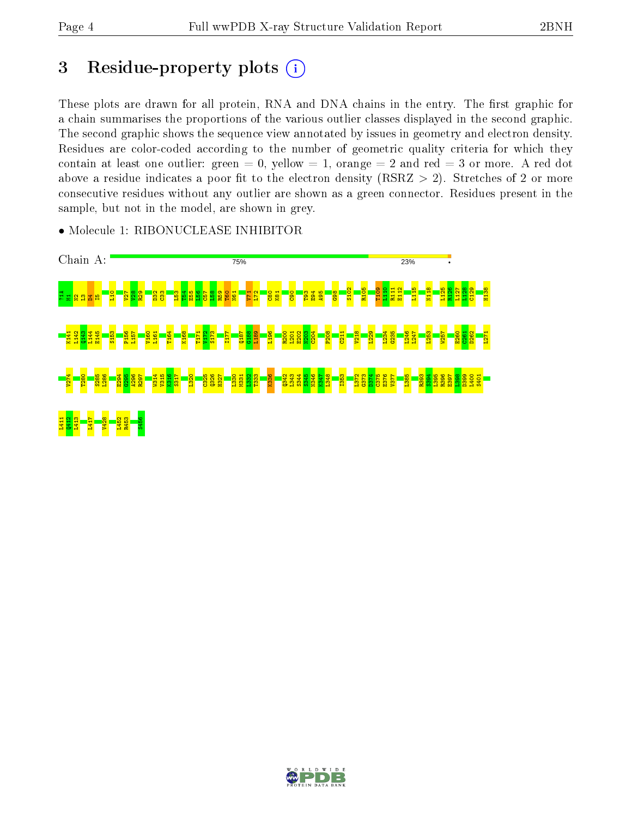# 3 Residue-property plots  $(i)$

These plots are drawn for all protein, RNA and DNA chains in the entry. The first graphic for a chain summarises the proportions of the various outlier classes displayed in the second graphic. The second graphic shows the sequence view annotated by issues in geometry and electron density. Residues are color-coded according to the number of geometric quality criteria for which they contain at least one outlier: green  $= 0$ , yellow  $= 1$ , orange  $= 2$  and red  $= 3$  or more. A red dot above a residue indicates a poor fit to the electron density (RSRZ  $> 2$ ). Stretches of 2 or more consecutive residues without any outlier are shown as a green connector. Residues present in the sample, but not in the model, are shown in grey.

• Molecule 1: RIBONUCLEASE INHIBITOR



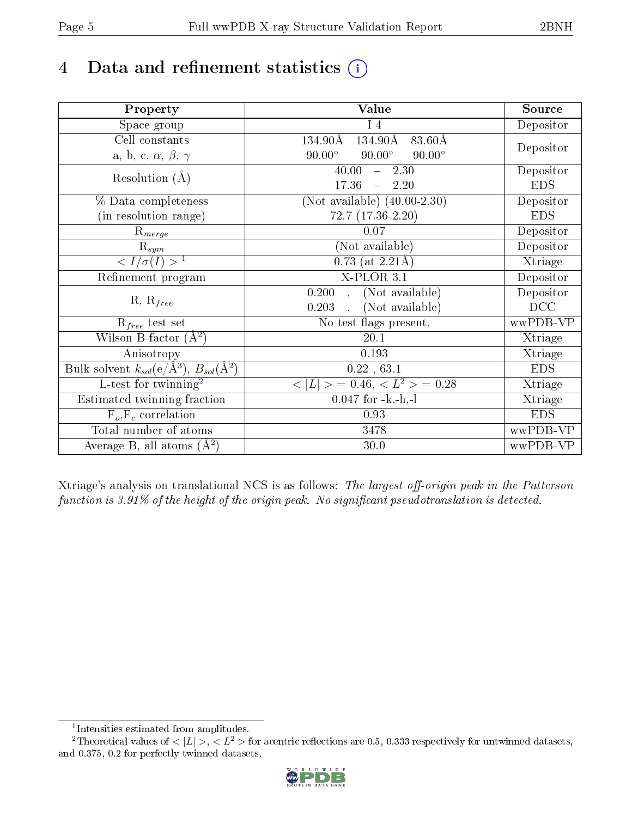# 4 Data and refinement statistics  $(i)$

| Property                                                         | Value                                                                | Source     |
|------------------------------------------------------------------|----------------------------------------------------------------------|------------|
| Space group                                                      | $I_4$                                                                | Depositor  |
| Cell constants                                                   | $134.90\text{\AA}$<br>$83.60\text{\AA}$<br>134.90Å                   |            |
| a, b, c, $\alpha$ , $\beta$ , $\gamma$                           | $90.00^\circ$<br>$90.00^\circ$<br>$90.00^\circ$                      | Depositor  |
| Resolution $(A)$                                                 | 40.00<br>$-2.30$                                                     | Depositor  |
|                                                                  | 17.36<br>$-2.20$                                                     | <b>EDS</b> |
| % Data completeness                                              | (Not available) $(40.00-2.30)$                                       | Depositor  |
| (in resolution range)                                            | $72.7(17.36-2.20)$                                                   | <b>EDS</b> |
| $\mathrm{R}_{merge}$                                             | 0.07                                                                 | Depositor  |
| $\mathrm{R}_{sym}$                                               | (Not available)                                                      | Depositor  |
| $\langle I/\sigma(I) \rangle^{-1}$                               | $0.73$ (at 2.21Å)                                                    | Xtriage    |
| Refinement program                                               | X-PLOR 3.1                                                           | Depositor  |
|                                                                  | $\overline{\text{(Not available)}}$<br>0.200<br>$\ddot{\phantom{a}}$ | Depositor  |
| $R, R_{free}$                                                    | (Not available)<br>0.203                                             | DCC        |
| $R_{free}$ test set                                              | No test flags present.                                               | wwPDB-VP   |
| Wilson B-factor $(A^2)$                                          | 20.1                                                                 | Xtriage    |
| Anisotropy                                                       | 0.193                                                                | Xtriage    |
| Bulk solvent $k_{sol}(\text{e}/\text{A}^3), B_{sol}(\text{A}^2)$ | 0.22, 63.1                                                           | <b>EDS</b> |
| $\overline{L-test for }$ twinning <sup>2</sup>                   | $>$ = 0.46, < $L^2$ > = 0.28<br>< L                                  | Xtriage    |
| Estimated twinning fraction                                      | $0.047$ for $-k,-h,-l$                                               | Xtriage    |
| $F_o, F_c$ correlation                                           | 0.93                                                                 | <b>EDS</b> |
| Total number of atoms                                            | 3478                                                                 | wwPDB-VP   |
| Average B, all atoms $(A^2)$                                     | $30.0\,$                                                             | wwPDB-VP   |

Xtriage's analysis on translational NCS is as follows: The largest off-origin peak in the Patterson function is  $3.91\%$  of the height of the origin peak. No significant pseudotranslation is detected.

<sup>&</sup>lt;sup>2</sup>Theoretical values of  $\langle |L| \rangle$ ,  $\langle L^2 \rangle$  for acentric reflections are 0.5, 0.333 respectively for untwinned datasets, and 0.375, 0.2 for perfectly twinned datasets.



<span id="page-4-1"></span><span id="page-4-0"></span><sup>1</sup> Intensities estimated from amplitudes.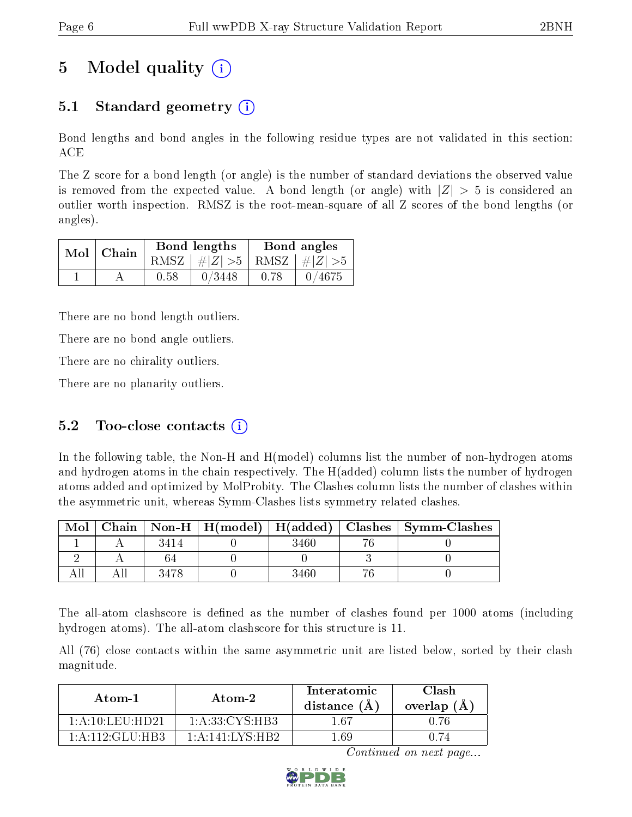# 5 Model quality  $(i)$

### 5.1 Standard geometry (i)

Bond lengths and bond angles in the following residue types are not validated in this section: ACE

The Z score for a bond length (or angle) is the number of standard deviations the observed value is removed from the expected value. A bond length (or angle) with  $|Z| > 5$  is considered an outlier worth inspection. RMSZ is the root-mean-square of all Z scores of the bond lengths (or angles).

| $Mol$   Chain |      | Bond lengths                    |      | Bond angles |
|---------------|------|---------------------------------|------|-------------|
|               |      | RMSZ $ #Z  > 5$ RMSZ $ #Z  > 5$ |      |             |
|               | 0.58 | 0/3448                          | 0.78 | 0/4675      |

There are no bond length outliers.

There are no bond angle outliers.

There are no chirality outliers.

There are no planarity outliers.

### 5.2 Too-close contacts  $(i)$

In the following table, the Non-H and H(model) columns list the number of non-hydrogen atoms and hydrogen atoms in the chain respectively. The H(added) column lists the number of hydrogen atoms added and optimized by MolProbity. The Clashes column lists the number of clashes within the asymmetric unit, whereas Symm-Clashes lists symmetry related clashes.

| Mol |      |      | Chain   Non-H   H(model)   H(added)   Clashes   Symm-Clashes |
|-----|------|------|--------------------------------------------------------------|
|     | 3414 | 3460 |                                                              |
|     |      |      |                                                              |
|     | 3478 | 3460 |                                                              |

The all-atom clashscore is defined as the number of clashes found per 1000 atoms (including hydrogen atoms). The all-atom clashscore for this structure is 11.

All (76) close contacts within the same asymmetric unit are listed below, sorted by their clash magnitude.

| Atom-1                                  | Atom-2             | Interatomic<br>distance $(A)$ | Clash<br>overlap $(A)$ |
|-----------------------------------------|--------------------|-------------------------------|------------------------|
| $1 \cdot A \cdot 10 \cdot I$ ell $HD21$ | 1: A: 33: CYS: HB3 | 1 67                          | Ո 76                   |
| $1 \cdot A \cdot 112 \cdot G$ LU HR3    | 1: A:141:LYS:HB2   | 1 69                          | N 74                   |

Continued on next page...

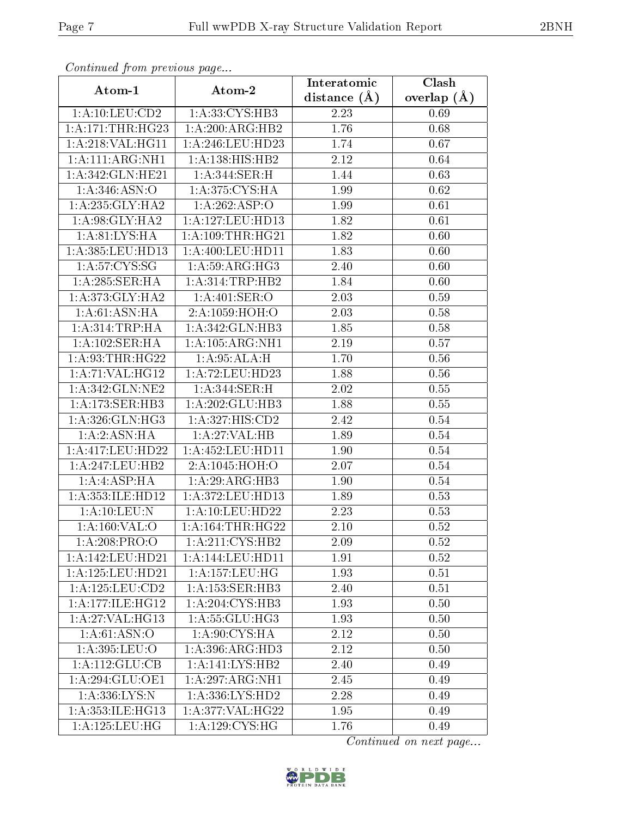| Continued from previous page                  |                              | Interatomic      | Clash         |
|-----------------------------------------------|------------------------------|------------------|---------------|
| Atom-1                                        | Atom-2                       | distance $(\AA)$ | overlap $(A)$ |
| 1: A: 10: LEU: CD2                            | 1:A:33:CYS:HB3               | 2.23             | 0.69          |
| 1: A:171:THR:HG23                             | 1:A:200:ARG:HB2              | 1.76             | 0.68          |
| 1: A:218: VAL:HGI1                            | 1: A:246:LEU:HD23            | 1.74             | 0.67          |
| 1:A:111:ARG:NH1                               | 1:A:138:HIS:HB2              | 2.12             | 0.64          |
| 1:A:342:GLN:HE21                              | 1: A:344: SER:H              | 1.44             | 0.63          |
| 1: A:346: ASN:O                               | 1:A:375:CYS:HA               | 1.99             | 0.62          |
| 1: A:235: GLY:HA2                             | 1:A:262:ASP:O                | 1.99             | 0.61          |
| 1: A:98: GLY: HA2                             | 1:A:127:LEU:HD13             | 1.82             | 0.61          |
| 1: A:81: LYS:HA                               | 1: A:109:THR:HG21            | 1.82             | 0.60          |
| 1:A:385:LEU:HD13                              | 1: A:400:LEU:HD11            | 1.83             | 0.60          |
| 1: A:57: CYS:SG                               | 1: A:59: ARG: HG3            | 2.40             | 0.60          |
| 1:A:285:SER:HA                                | 1: A:314:TRP:HB2             | 1.84             | 0.60          |
| 1: A:373: GLY:HA2                             | 1: A:401: SER:O              | 2.03             | 0.59          |
| 1: A:61: ASN: HA                              | 2:A:1059:HOH:O               | 2.03             | 0.58          |
| 1: A:314:TRP:HA                               | 1:A:342:GLN:HB3              | 1.85             | 0.58          |
| 1:A:102:SER:HA                                | 1: A: 105: ARG: NH1          | 2.19             | 0.57          |
| 1: A:93:THR:HG22                              | 1:A:95:ALA:H                 | 1.70             | $0.56\,$      |
| 1:A:71:VAL:HG12                               | 1:A:72:LEU:HD23              | 1.88             | $0.56\,$      |
| 1: A:342: GLN: NE2                            | 1:A:344:SER:H                | 2.02             | 0.55          |
| 1:A:173:SER:HB3                               | 1:A:202:GLU:HB3              | 1.88             | 0.55          |
| 1: A:326: GLN: HG3                            | 1:A:327:HIS:CD2              | 2.42             | $0.54\,$      |
| 1:A:2:ASN:HA                                  | 1:A:27:VAL:HB                | 1.89             | 0.54          |
| 1:A:417:LEU:HD22                              | 1:A:452:LEU:HD11             | 1.90             | 0.54          |
| 1: A: 247: LEU: HB2                           | 2:A:1045:HOH:O               | 2.07             | 0.54          |
| 1:A:4:ASP:HA                                  | 1:A:29:ARG:HB3               | 1.90             | 0.54          |
| 1:A:353:ILE:HD12                              | 1:A:372:LEU:HD13             | 1.89             | 0.53          |
| 1:A:10:LEU:N                                  | 1:A:10:LEU:HD22              | 2.23             | 0.53          |
| 1:A:160:VAL:O                                 | 1: A:164:THR:HG22            | $2.10\,$         | 0.52          |
| 1:A:208:PRO:O                                 | 1: A:211: CYS:HB2            | 2.09             | 0.52          |
| $1: A:142:$ LEU:HD21                          | 1:A:144:LEU:HD11             | 1.91             | 0.52          |
| 1: A: 125: LEU: HD21                          | 1: A: 157: LEU: HG           | 1.93             | 0.51          |
| 1:A:125:LEU:CD2                               | 1: A: 153: SER: HB3          | 2.40             | 0.51          |
| 1: A:177: ILE: HG12                           | 1: A:204:CYS:HB3             | 1.93             | 0.50          |
| 1:A:27:VAL:HG13                               | 1: A: 55: GLU: HG3           | 1.93             | 0.50          |
| 1: A:61: ASN:O                                | $1:A:90:CYS.\overline{HA}$   | 2.12             | 0.50          |
| 1:A:395:LEU:O                                 | 1:A:396:ARG:HD3              | 2.12             | 0.50          |
| 1:A:112:GLU:CB                                | 1:A:141:LYS:HB2              | 2.40             | 0.49          |
| 1:A:294:GLU:OE1                               | $1:A:297:ARG:\overline{NH1}$ | 2.45             | 0.49          |
| 1:A:336:LYS:N                                 | 1: A: 336: LYS: HD2          | 2.28             | 0.49          |
| 1:A:353:ILE:HG13                              | 1:A:377:VAL:HG22             | 1.95             | 0.49          |
| $1:A:125:\overline{\textrm{LEU}:\textrm{HG}}$ | 1: A: 129: CYS: HG           | 1.76             | 0.49          |

Continued from previous page.

Continued on next page...

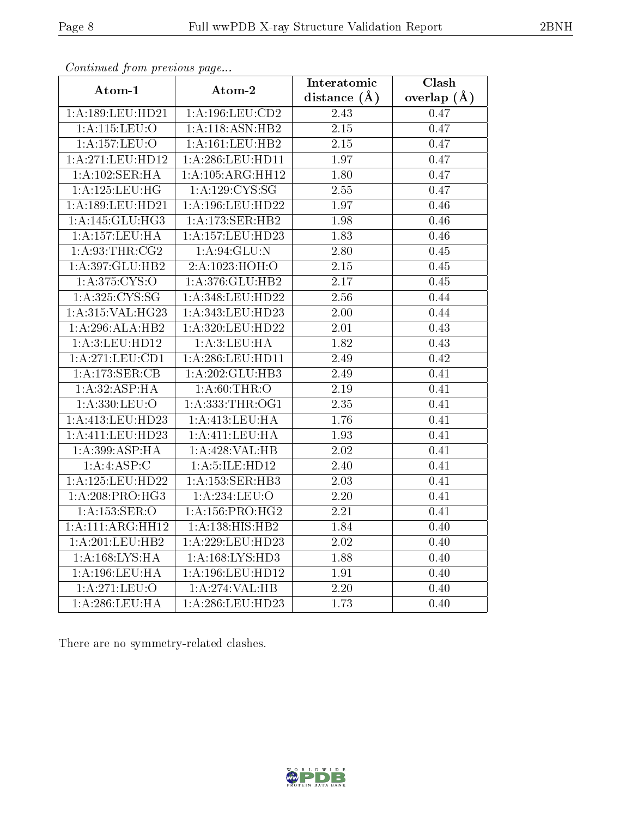|                      |                      | Interatomic    | Clash         |
|----------------------|----------------------|----------------|---------------|
| Atom-1               | Atom-2               | distance $(A)$ | overlap $(A)$ |
| 1:A:189:LEU:HD21     | 1:A:196:LEU:CD2      | 2.43           | 0.47          |
| 1:A:115:LEU:O        | 1:A:118:ASN:HB2      | 2.15           | 0.47          |
| 1:A:157:LEU:O        | 1:A:161:LEU:HB2      | 2.15           | 0.47          |
| 1: A:271:LEU:HD12    | 1:A:286:LEU:HD11     | 1.97           | 0.47          |
| 1:A:102:SER:HA       | 1: A: 105: ARG: HH12 | 1.80           | 0.47          |
| 1: A: 125: LEU: HG   | 1: A: 129: CYS: SG   | 2.55           | 0.47          |
| 1:A:189:LEU:HD21     | 1:A:196:LEU:HD22     | 1.97           | 0.46          |
| 1: A:145: GLU:HG3    | 1:A:173:SER:HB2      | 1.98           | 0.46          |
| 1:A:157:LEU:HA       | 1: A: 157: LEU: HD23 | 1.83           | 0.46          |
| 1: A:93:THR:CG2      | 1: A:94: GLU:N       | 2.80           | 0.45          |
| 1:A:397:GLU:HB2      | 2:A:1023:HOH:O       | 2.15           | 0.45          |
| 1: A:375: CYS:O      | 1: A:376: GLU:HB2    | 2.17           | 0.45          |
| 1: A:325: CYS:SG     | 1:A:348:LEU:HD22     | 2.56           | 0.44          |
| 1:A:315:VAL:H G23    | 1:A:343:LEU:HD23     | 2.00           | 0.44          |
| 1:A:296:ALA:HB2      | 1:A:320:LEU:HD22     | 2.01           | 0.43          |
| 1: A:3: LEU: HD12    | 1: A:3: LEU: HA      | 1.82           | 0.43          |
| 1: A:271: LEU: CD1   | 1: A:286:LEU:HD11    | 2.49           | 0.42          |
| 1:A:173:SER:CB       | 1:A:202:GLU:HB3      | 2.49           | 0.41          |
| 1: A:32: ASP:HA      | 1: A:60:THR:O        | 2.19           | 0.41          |
| 1: A: 330: LEU: O    | 1: A: 333: THR: OG1  | 2.35           | 0.41          |
| 1: A:413: LEU: HD23  | 1: A: 413: LEU: HA   | 1.76           | 0.41          |
| 1:A:411:LEU:HD23     | 1:A:411:LEU:HA       | 1.93           | 0.41          |
| 1: A:399: ASP:HA     | 1:A:428:VAL:HB       | 2.02           | 0.41          |
| 1:A:4:ASP:C          | 1:A:5:ILE:HD12       | 2.40           | 0.41          |
| 1: A: 125: LEU: HD22 | 1:A:153:SER:HB3      | 2.03           | 0.41          |
| 1: A:208:PRO:HG3     | 1: A:234:LEU:O       | 2.20           | 0.41          |
| 1: A: 153: SER: O    | 1: A: 156: PRO:HG2   | 2.21           | 0.41          |
| 1:A:111:ARG:HH12     | 1:A:138:HIS:HB2      | 1.84           | 0.40          |
| 1:A:201:LEU:HB2      | 1:A:229:LEU:HD23     | 2.02           | 0.40          |
| 1: A: 168: LYS: HA   | 1: A: 168: LYS: HD3  | 1.88           | 0.40          |
| 1: A: 196: LEU: HA   | $1:$ A:196:LEU:HD12  | 1.91           | 0.40          |
| 1:A:271:LEU:O        | 1:A:274:VAL:HB       | 2.20           | 0.40          |
| 1: A:286:LEU:HA      | 1:A:286:LEU:HD23     | 1.73           | 0.40          |

Continued from previous page...

There are no symmetry-related clashes.

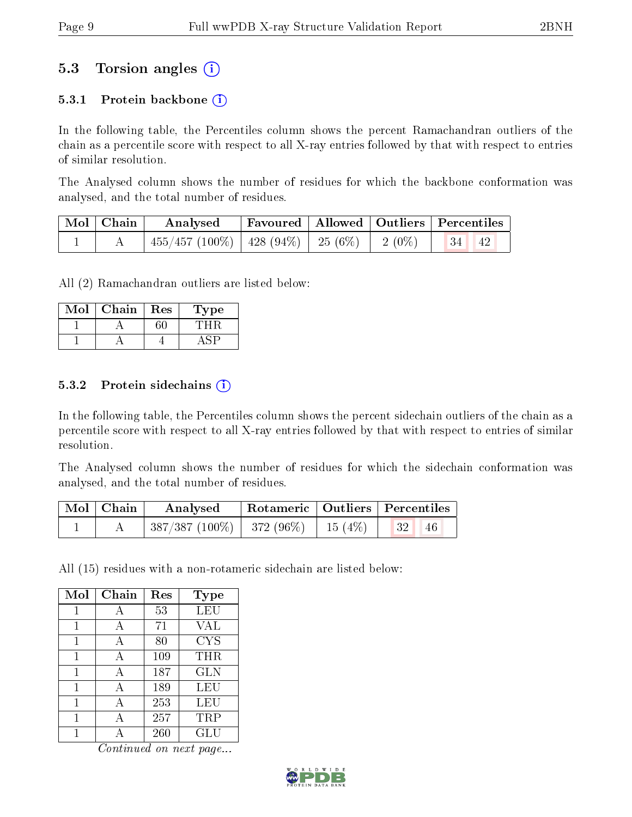### 5.3 Torsion angles (i)

#### 5.3.1 Protein backbone  $(i)$

In the following table, the Percentiles column shows the percent Ramachandran outliers of the chain as a percentile score with respect to all X-ray entries followed by that with respect to entries of similar resolution.

The Analysed column shows the number of residues for which the backbone conformation was analysed, and the total number of residues.

| $\mid$ Mol $\mid$ Chain $\mid$ | $\boldsymbol{\mathrm{Analysed}}$                             | Favoured   Allowed   Outliers   Percentiles |  |  |  |
|--------------------------------|--------------------------------------------------------------|---------------------------------------------|--|--|--|
|                                | $_1$ 455/457 (100%)   428 (94%)   25 (6%)   2 (0%)   34   42 |                                             |  |  |  |

All (2) Ramachandran outliers are listed below:

| Viol | Chain | $\operatorname{Res}% \left( \mathcal{N}\right) \equiv\operatorname{Res}(\mathcal{N}_{0},\mathcal{N}_{0})$ | ype |
|------|-------|-----------------------------------------------------------------------------------------------------------|-----|
|      |       |                                                                                                           |     |
|      |       |                                                                                                           |     |

#### 5.3.2 Protein sidechains  $(i)$

In the following table, the Percentiles column shows the percent sidechain outliers of the chain as a percentile score with respect to all X-ray entries followed by that with respect to entries of similar resolution.

The Analysed column shows the number of residues for which the sidechain conformation was analysed, and the total number of residues.

| $\text{Mol} \mid \text{Chain}$ | Analysed                                  |  | Rotameric   Outliers   Percentiles |  |
|--------------------------------|-------------------------------------------|--|------------------------------------|--|
|                                | $387/387 (100\%)$   372 (96\%)   15 (4\%) |  | 46                                 |  |

All (15) residues with a non-rotameric sidechain are listed below:

| Mol | Chain | Res | <b>Type</b> |
|-----|-------|-----|-------------|
|     | А     | 53  | <b>LEU</b>  |
| 1   | А     | 71  | <b>VAL</b>  |
| 1   | А     | 80  | <b>CYS</b>  |
| 1   | А     | 109 | THR         |
| 1   | Ą     | 187 | <b>GLN</b>  |
| 1   | A     | 189 | LEU         |
| 1   | А     | 253 | LEU         |
|     |       | 257 | TRP         |
|     |       | 260 | GLU         |

Continued on next page...

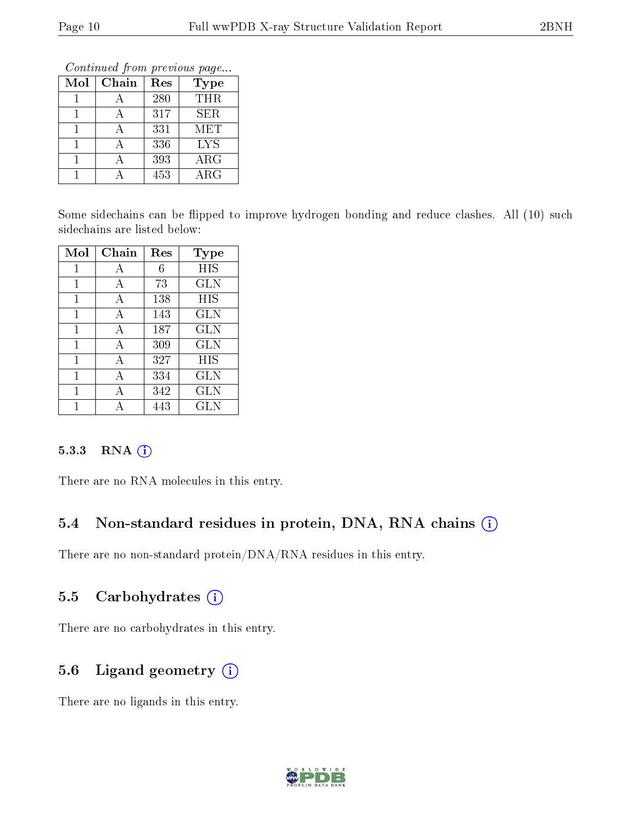Continued from previous page...

| Mol | Chain | Res | Type        |
|-----|-------|-----|-------------|
|     |       | 280 | <b>THR</b>  |
|     |       | 317 | <b>SER</b>  |
|     |       | 331 | <b>MET</b>  |
|     |       | 336 | <b>LYS</b>  |
|     |       | 393 | $\rm{ARG}$  |
|     |       | 453 | ${\rm ARG}$ |

Some sidechains can be flipped to improve hydrogen bonding and reduce clashes. All (10) such sidechains are listed below:

| Mol | Chain | Res | Type       |
|-----|-------|-----|------------|
|     | А     | 6   | HIS        |
| 1   | А     | 73  | <b>GLN</b> |
| 1   | A     | 138 | HIS        |
| 1   | А     | 143 | <b>GLN</b> |
| 1   | A     | 187 | GLN        |
| 1   | А     | 309 | <b>GLN</b> |
| 1   | А     | 327 | HIS        |
| 1   | А     | 334 | GLN        |
|     |       | 342 | <b>GLN</b> |
|     |       | 443 | GLN        |

#### 5.3.3 RNA [O](https://www.wwpdb.org/validation/2017/XrayValidationReportHelp#rna)i

There are no RNA molecules in this entry.

### 5.4 Non-standard residues in protein, DNA, RNA chains (i)

There are no non-standard protein/DNA/RNA residues in this entry.

### 5.5 Carbohydrates  $(i)$

There are no carbohydrates in this entry.

## 5.6 Ligand geometry (i)

There are no ligands in this entry.

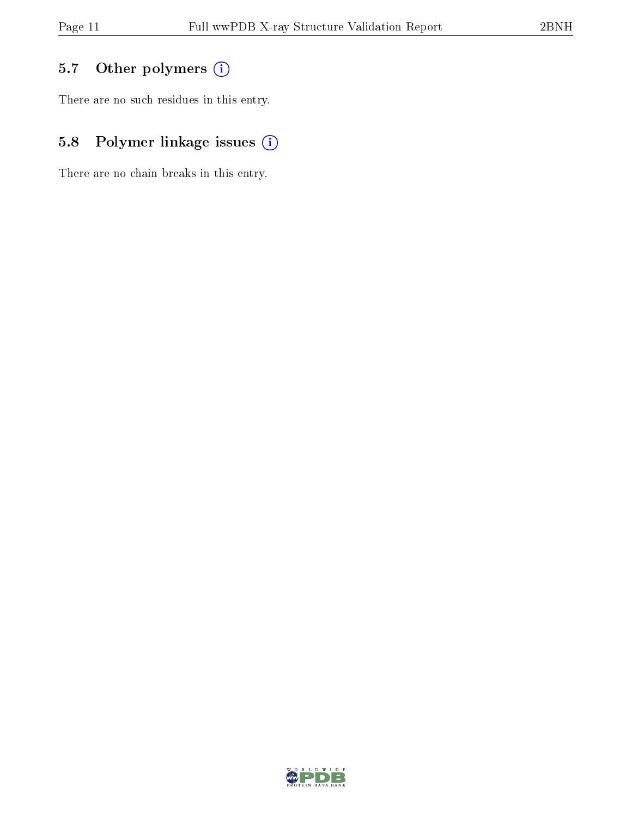## 5.7 [O](https://www.wwpdb.org/validation/2017/XrayValidationReportHelp#nonstandard_residues_and_ligands)ther polymers (i)

There are no such residues in this entry.

## 5.8 Polymer linkage issues (i)

There are no chain breaks in this entry.